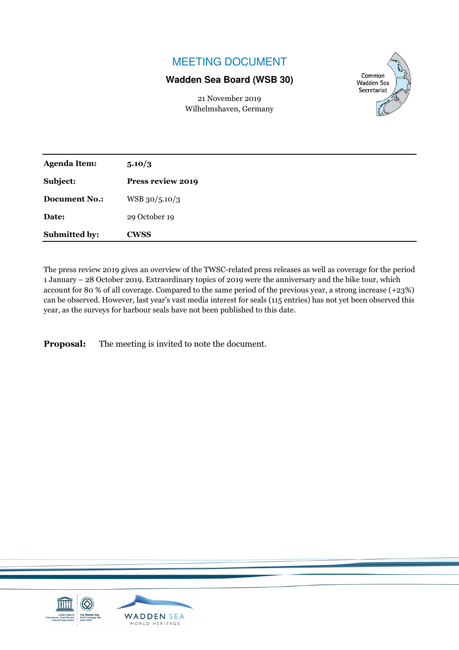# MEETING DOCUMENT

### **Wadden Sea Board (WSB 30)**

21 November 2019 Wilhelmshaven, Germany



| <b>Agenda Item:</b>  | 5.10/3            |
|----------------------|-------------------|
| Subject:             | Press review 2019 |
| <b>Document No.:</b> | WSB 30/5.10/3     |
| Date:                | 29 October 19     |
| Submitted by:        | <b>CWSS</b>       |

The press review 2019 gives an overview of the TWSC-related press releases as well as coverage for the period 1 January – 28 October 2019. Extraordinary topics of 2019 were the anniversary and the bike tour, which account for 80 % of all coverage. Compared to the same period of the previous year, a strong increase (+23%) can be observed. However, last year's vast media interest for seals (115 entries) has not yet been observed this year, as the surveys for harbour seals have not been published to this date.

**Proposal:** The meeting is invited to note the document.